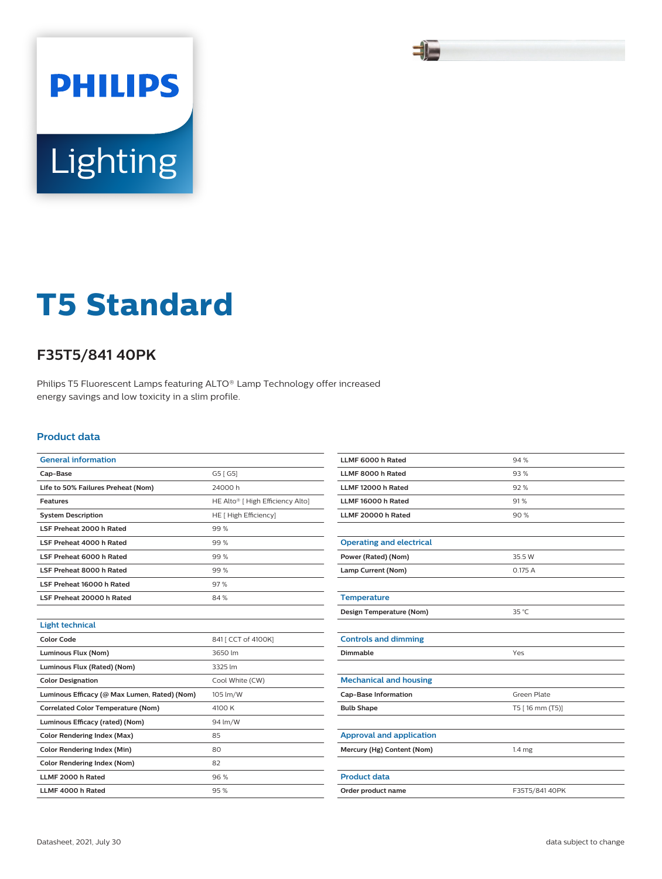

# **PHILIPS** Lighting

# **T5 Standard**

## **F35T5/841 40PK**

Philips T5 Fluorescent Lamps featuring ALTO® Lamp Technology offer increased energy savings and low toxicity in a slim profile.

#### **Product data**

| <b>General information</b>                   |                                  |  |  |
|----------------------------------------------|----------------------------------|--|--|
| Cap-Base                                     | G5 [G5]                          |  |  |
| Life to 50% Failures Preheat (Nom)           | 24000h                           |  |  |
| <b>Features</b>                              | HE Alto® [ High Efficiency Alto] |  |  |
| <b>System Description</b>                    | HE [ High Efficiency]            |  |  |
| LSF Preheat 2000 h Rated                     | 99%                              |  |  |
| LSF Preheat 4000 h Rated                     | 99%                              |  |  |
| LSF Preheat 6000 h Rated                     | 99%                              |  |  |
| LSF Preheat 8000 h Rated                     | 99%                              |  |  |
| LSF Preheat 16000 h Rated                    | 97%                              |  |  |
| LSF Preheat 20000 h Rated                    | 84%                              |  |  |
|                                              |                                  |  |  |
| <b>Light technical</b>                       |                                  |  |  |
| <b>Color Code</b>                            | 841 [ CCT of 4100K]              |  |  |
| Luminous Flux (Nom)                          | 3650 lm                          |  |  |
| Luminous Flux (Rated) (Nom)                  | 3325 lm                          |  |  |
| <b>Color Designation</b>                     | Cool White (CW)                  |  |  |
| Luminous Efficacy (@ Max Lumen, Rated) (Nom) | 105 lm/W                         |  |  |
| <b>Correlated Color Temperature (Nom)</b>    | 4100 K                           |  |  |
| Luminous Efficacy (rated) (Nom)              | 94 lm/W                          |  |  |
| <b>Color Rendering Index (Max)</b>           | 85                               |  |  |
| <b>Color Rendering Index (Min)</b>           | 80                               |  |  |
| <b>Color Rendering Index (Nom)</b>           | 82                               |  |  |
| LLMF 2000 h Rated                            | 96%                              |  |  |
| LLMF 4000 h Rated                            | 95%                              |  |  |

| LLMF 6000 h Rated               | 94%               |
|---------------------------------|-------------------|
| LLMF 8000 h Rated               | 93%               |
| LLMF 12000 h Rated              | 92%               |
| LLMF 16000 h Rated              | 91%               |
| LLMF 20000 h Rated              | 90%               |
|                                 |                   |
| <b>Operating and electrical</b> |                   |
| Power (Rated) (Nom)             | 35.5 W            |
| Lamp Current (Nom)              | 0.175 A           |
|                                 |                   |
| <b>Temperature</b>              |                   |
| Design Temperature (Nom)        | 35 °C             |
|                                 |                   |
| <b>Controls and dimming</b>     |                   |
| Dimmable                        | Yes               |
|                                 |                   |
| <b>Mechanical and housing</b>   |                   |
| <b>Cap-Base Information</b>     | Green Plate       |
| <b>Bulb Shape</b>               | T5 [16 mm (T5)]   |
|                                 |                   |
| <b>Approval and application</b> |                   |
| Mercury (Hg) Content (Nom)      | 1.4 <sub>mg</sub> |
|                                 |                   |
| <b>Product data</b>             |                   |
| Order product name              | F35T5/84140PK     |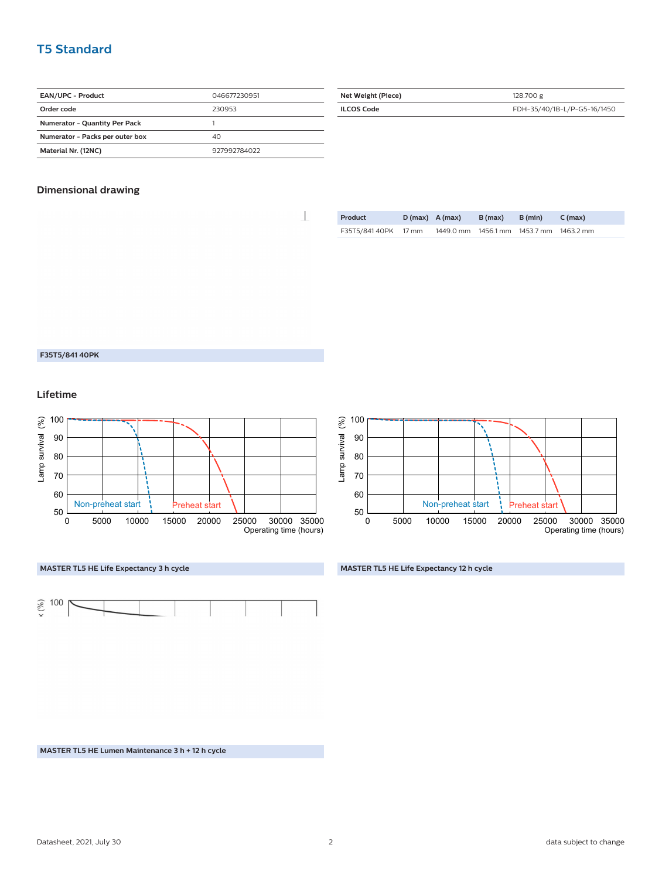### **T5 Standard**

| <b>EAN/UPC - Product</b>        | 046677230951 |
|---------------------------------|--------------|
| Order code                      | 230953       |
| Numerator - Quantity Per Pack   |              |
| Numerator - Packs per outer box | 40           |
| Material Nr. (12NC)             | 927992784022 |

| Net Weight (Piece) | 128,700 g                   |
|--------------------|-----------------------------|
| <b>ILCOS Code</b>  | FDH-35/40/1B-L/P-G5-16/1450 |
|                    |                             |

#### **Dimensional drawing**

| <b>Product</b>       | $D(max)$ A (max)              | B (max) | B (min) | C (max)   |
|----------------------|-------------------------------|---------|---------|-----------|
| F35T5/841 40PK 17 mm | 1449.0 mm 1456.1 mm 1453.7 mm |         |         | 1463.2 mm |

#### **F35T5/841 40PK**

**Lifetime**









**MASTER TL5 HE Life Expectancy 12 h cycle**

**MASTER TL5 HE Lumen Maintenance 3 h + 12 h cycle**